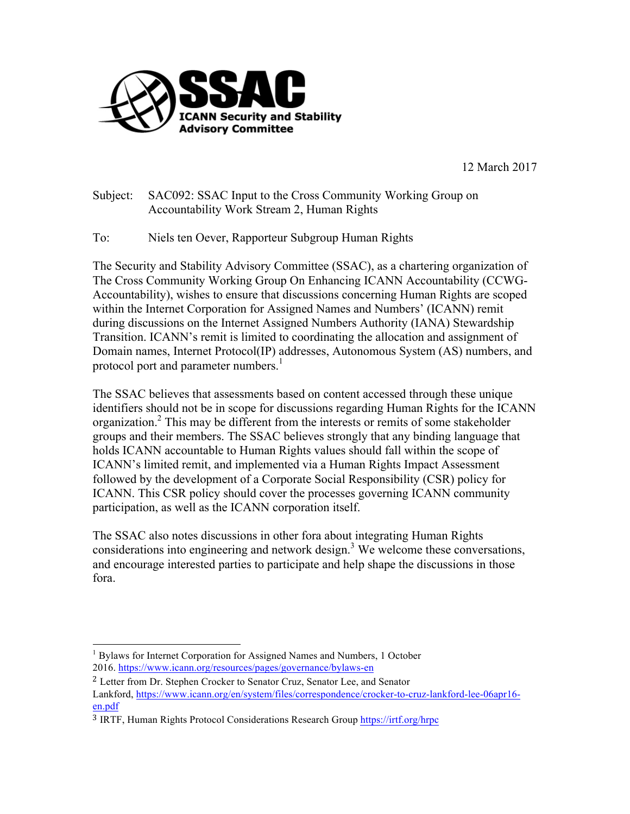

12 March 2017

Subject: SAC092: SSAC Input to the Cross Community Working Group on Accountability Work Stream 2, Human Rights

To: Niels ten Oever, Rapporteur Subgroup Human Rights

The Security and Stability Advisory Committee (SSAC), as a chartering organization of The Cross Community Working Group On Enhancing ICANN Accountability (CCWG-Accountability), wishes to ensure that discussions concerning Human Rights are scoped within the Internet Corporation for Assigned Names and Numbers' (ICANN) remit during discussions on the Internet Assigned Numbers Authority (IANA) Stewardship Transition. ICANN's remit is limited to coordinating the allocation and assignment of Domain names, Internet Protocol(IP) addresses, Autonomous System (AS) numbers, and protocol port and parameter numbers.<sup>1</sup>

The SSAC believes that assessments based on content accessed through these unique identifiers should not be in scope for discussions regarding Human Rights for the ICANN organization.<sup>2</sup> This may be different from the interests or remits of some stakeholder groups and their members. The SSAC believes strongly that any binding language that holds ICANN accountable to Human Rights values should fall within the scope of ICANN's limited remit, and implemented via a Human Rights Impact Assessment followed by the development of a Corporate Social Responsibility (CSR) policy for ICANN. This CSR policy should cover the processes governing ICANN community participation, as well as the ICANN corporation itself.

The SSAC also notes discussions in other fora about integrating Human Rights considerations into engineering and network design.<sup>3</sup> We welcome these conversations, and encourage interested parties to participate and help shape the discussions in those fora.

<sup>&</sup>lt;sup>1</sup> Bylaws for Internet Corporation for Assigned Names and Numbers, 1 October 2016. https://www.icann.org/resources/pages/governance/bylaws-en

<sup>&</sup>lt;sup>2</sup> Letter from Dr. Stephen Crocker to Senator Cruz, Senator Lee, and Senator Lankford, https://www.icann.org/en/system/files/correspondence/crocker-to-cruz-lankford-lee-06apr16 en.pdf

<sup>3</sup> IRTF, Human Rights Protocol Considerations Research Group https://irtf.org/hrpc